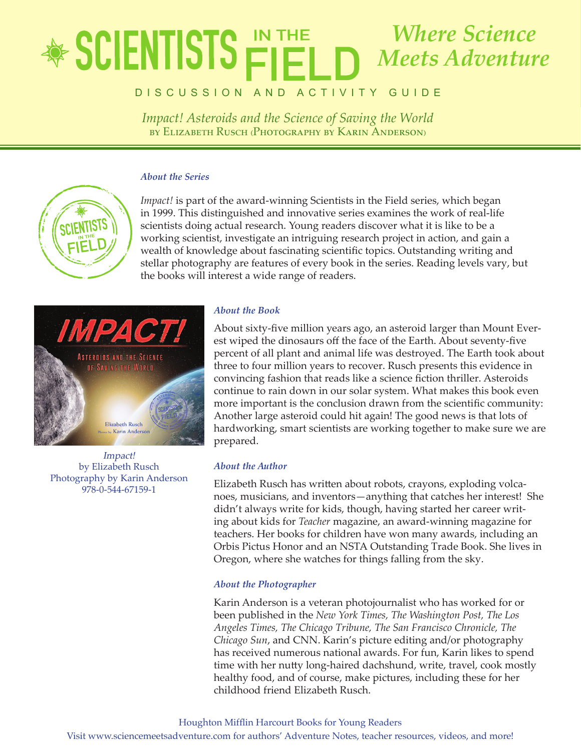## lete in the state of  $J$ **ILIVIIUIU**  $\vdash$  $\vdash$  $\vdash$  $\vdash$   $\vdash$   $\vdash$   $\vdash$   $\vdash$   $\vdash$   $\vdash$   $\vdash$   $\vdash$   $\vdash$   $\vdash$   $\vdash$   $\vdash$   $\vdash$   $\vdash$   $\vdash$   $\vdash$   $\vdash$   $\vdash$   $\vdash$   $\vdash$   $\vdash$   $\vdash$   $\vdash$   $\vdash$   $\vdash$   $\vdash$   $\vdash$   $\vdash$   $\vdash$   $\vdash$   $\$ by Elizabeth Rusch (Photography by Karin Anderson) *Where Science Meets Adventure*

DISCUSSION AND ACTIVITY GUIDE

*Impact! Asteroids and the Science of Saving the World* by Elizabeth Rusch (Photography by Karin Anderson)

## *About the Series*



*Impact!* is part of the award-winning Scientists in the Field series, which began in 1999. This distinguished and innovative series examines the work of real-life scientists doing actual research. Young readers discover what it is like to be a working scientist, investigate an intriguing research project in action, and gain a wealth of knowledge about fascinating scientific topics. Outstanding writing and stellar photography are features of every book in the series. Reading levels vary, but the books will interest a wide range of readers.



Impact! by Elizabeth Rusch Photography by Karin Anderson 978-0-544-67159-1

## *About the Book*

About sixty-five million years ago, an asteroid larger than Mount Everest wiped the dinosaurs off the face of the Earth. About seventy-five percent of all plant and animal life was destroyed. The Earth took about three to four million years to recover. Rusch presents this evidence in convincing fashion that reads like a science fiction thriller. Asteroids continue to rain down in our solar system. What makes this book even more important is the conclusion drawn from the scientific community: Another large asteroid could hit again! The good news is that lots of hardworking, smart scientists are working together to make sure we are prepared.

## *About the Author*

Elizabeth Rusch has written about robots, crayons, exploding volcanoes, musicians, and inventors—anything that catches her interest! She didn't always write for kids, though, having started her career writing about kids for *Teacher* magazine, an award-winning magazine for teachers. Her books for children have won many awards, including an Orbis Pictus Honor and an NSTA Outstanding Trade Book. She lives in Oregon, where she watches for things falling from the sky.

## *About the Photographer*

Karin Anderson is a veteran photojournalist who has worked for or been published in the *New York Times, The Washington Post, The Los Angeles Times, The Chicago Tribune, The San Francisco Chronicle, The Chicago Sun*, and CNN. Karin's picture editing and/or photography has received numerous national awards. For fun, Karin likes to spend time with her nutty long-haired dachshund, write, travel, cook mostly healthy food, and of course, make pictures, including these for her childhood friend Elizabeth Rusch.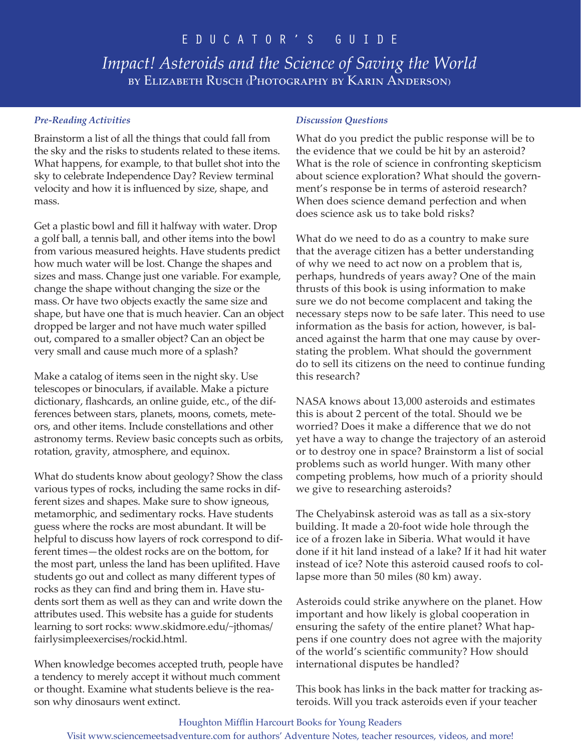*Impact! Asteroids and the Science of Saving the World* by Elizabeth Rusch (Photography by Karin Anderson)

## *Pre-Reading Activities*

Brainstorm a list of all the things that could fall from the sky and the risks to students related to these items. What happens, for example, to that bullet shot into the sky to celebrate Independence Day? Review terminal velocity and how it is influenced by size, shape, and mass.

Get a plastic bowl and fill it halfway with water. Drop a golf ball, a tennis ball, and other items into the bowl from various measured heights. Have students predict how much water will be lost. Change the shapes and sizes and mass. Change just one variable. For example, change the shape without changing the size or the mass. Or have two objects exactly the same size and shape, but have one that is much heavier. Can an object dropped be larger and not have much water spilled out, compared to a smaller object? Can an object be very small and cause much more of a splash?

Make a catalog of items seen in the night sky. Use telescopes or binoculars, if available. Make a picture dictionary, flashcards, an online guide, etc., of the differences between stars, planets, moons, comets, meteors, and other items. Include constellations and other astronomy terms. Review basic concepts such as orbits, rotation, gravity, atmosphere, and equinox.

What do students know about geology? Show the class various types of rocks, including the same rocks in different sizes and shapes. Make sure to show igneous, metamorphic, and sedimentary rocks. Have students guess where the rocks are most abundant. It will be helpful to discuss how layers of rock correspond to different times—the oldest rocks are on the bottom, for the most part, unless the land has been uplifited. Have students go out and collect as many different types of rocks as they can find and bring them in. Have students sort them as well as they can and write down the attributes used. This website has a guide for students learning to sort rocks: www.skidmore.edu/~jthomas/ fairlysimpleexercises/rockid.html.

When knowledge becomes accepted truth, people have a tendency to merely accept it without much comment or thought. Examine what students believe is the reason why dinosaurs went extinct.

## *Discussion Questions*

What do you predict the public response will be to the evidence that we could be hit by an asteroid? What is the role of science in confronting skepticism about science exploration? What should the government's response be in terms of asteroid research? When does science demand perfection and when does science ask us to take bold risks?

What do we need to do as a country to make sure that the average citizen has a better understanding of why we need to act now on a problem that is, perhaps, hundreds of years away? One of the main thrusts of this book is using information to make sure we do not become complacent and taking the necessary steps now to be safe later. This need to use information as the basis for action, however, is balanced against the harm that one may cause by overstating the problem. What should the government do to sell its citizens on the need to continue funding this research?

NASA knows about 13,000 asteroids and estimates this is about 2 percent of the total. Should we be worried? Does it make a difference that we do not yet have a way to change the trajectory of an asteroid or to destroy one in space? Brainstorm a list of social problems such as world hunger. With many other competing problems, how much of a priority should we give to researching asteroids?

The Chelyabinsk asteroid was as tall as a six-story building. It made a 20-foot wide hole through the ice of a frozen lake in Siberia. What would it have done if it hit land instead of a lake? If it had hit water instead of ice? Note this asteroid caused roofs to collapse more than 50 miles (80 km) away.

Asteroids could strike anywhere on the planet. How important and how likely is global cooperation in ensuring the safety of the entire planet? What happens if one country does not agree with the majority of the world's scientific community? How should international disputes be handled?

This book has links in the back matter for tracking asteroids. Will you track asteroids even if your teacher

#### Houghton Mifflin Harcourt Books for Young Readers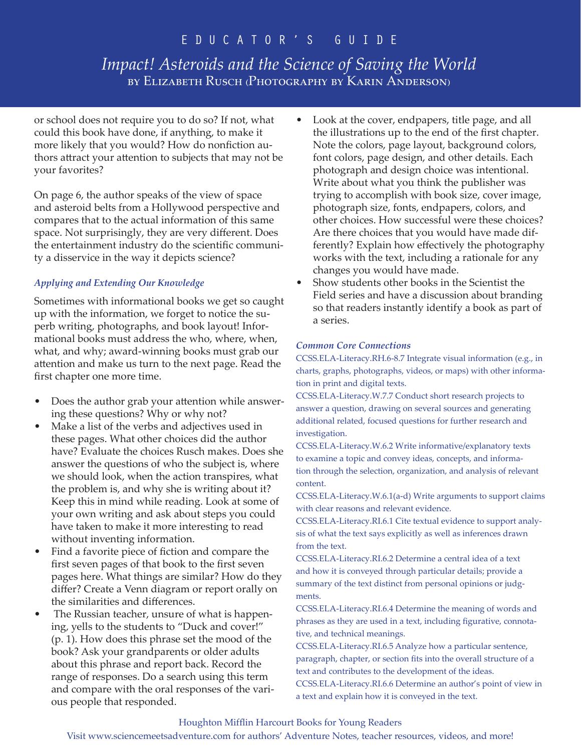# *Impact! Asteroids and the Science of Saving the World* by Elizabeth Rusch (Photography by Karin Anderson)

or school does not require you to do so? If not, what could this book have done, if anything, to make it more likely that you would? How do nonfiction authors attract your attention to subjects that may not be your favorites?

On page 6, the author speaks of the view of space and asteroid belts from a Hollywood perspective and compares that to the actual information of this same space. Not surprisingly, they are very different. Does the entertainment industry do the scientific community a disservice in the way it depicts science?

## *Applying and Extending Our Knowledge*

Sometimes with informational books we get so caught up with the information, we forget to notice the superb writing, photographs, and book layout! Informational books must address the who, where, when, what, and why; award-winning books must grab our attention and make us turn to the next page. Read the first chapter one more time.

- Does the author grab your attention while answering these questions? Why or why not?
- Make a list of the verbs and adjectives used in these pages. What other choices did the author have? Evaluate the choices Rusch makes. Does she answer the questions of who the subject is, where we should look, when the action transpires, what the problem is, and why she is writing about it? Keep this in mind while reading. Look at some of your own writing and ask about steps you could have taken to make it more interesting to read without inventing information.
- Find a favorite piece of fiction and compare the first seven pages of that book to the first seven pages here. What things are similar? How do they differ? Create a Venn diagram or report orally on the similarities and differences.
- The Russian teacher, unsure of what is happening, yells to the students to "Duck and cover!" (p. 1). How does this phrase set the mood of the book? Ask your grandparents or older adults about this phrase and report back. Record the range of responses. Do a search using this term and compare with the oral responses of the various people that responded.
- Look at the cover, endpapers, title page, and all the illustrations up to the end of the first chapter. Note the colors, page layout, background colors, font colors, page design, and other details. Each photograph and design choice was intentional. Write about what you think the publisher was trying to accomplish with book size, cover image, photograph size, fonts, endpapers, colors, and other choices. How successful were these choices? Are there choices that you would have made differently? Explain how effectively the photography works with the text, including a rationale for any changes you would have made.
- Show students other books in the Scientist the Field series and have a discussion about branding so that readers instantly identify a book as part of a series.

## *Common Core Connections*

CCSS.ELA-Literacy.RH.6-8.7 Integrate visual information (e.g., in charts, graphs, photographs, videos, or maps) with other information in print and digital texts.

CCSS.ELA-Literacy.W.7.7 Conduct short research projects to answer a question, drawing on several sources and generating additional related, focused questions for further research and investigation.

CCSS.ELA-Literacy.W.6.2 Write informative/explanatory texts to examine a topic and convey ideas, concepts, and information through the selection, organization, and analysis of relevant content.

CCSS.ELA-Literacy.W.6.1(a-d) Write arguments to support claims with clear reasons and relevant evidence.

CCSS.ELA-Literacy.RI.6.1 Cite textual evidence to support analysis of what the text says explicitly as well as inferences drawn from the text.

CCSS.ELA-Literacy.RI.6.2 Determine a central idea of a text and how it is conveyed through particular details; provide a summary of the text distinct from personal opinions or judgments.

CCSS.ELA-Literacy.RI.6.4 Determine the meaning of words and phrases as they are used in a text, including figurative, connotative, and technical meanings.

CCSS.ELA-Literacy.RI.6.5 Analyze how a particular sentence, paragraph, chapter, or section fits into the overall structure of a text and contributes to the development of the ideas.

CCSS.ELA-Literacy.RI.6.6 Determine an author's point of view in a text and explain how it is conveyed in the text.

## Houghton Mifflin Harcourt Books for Young Readers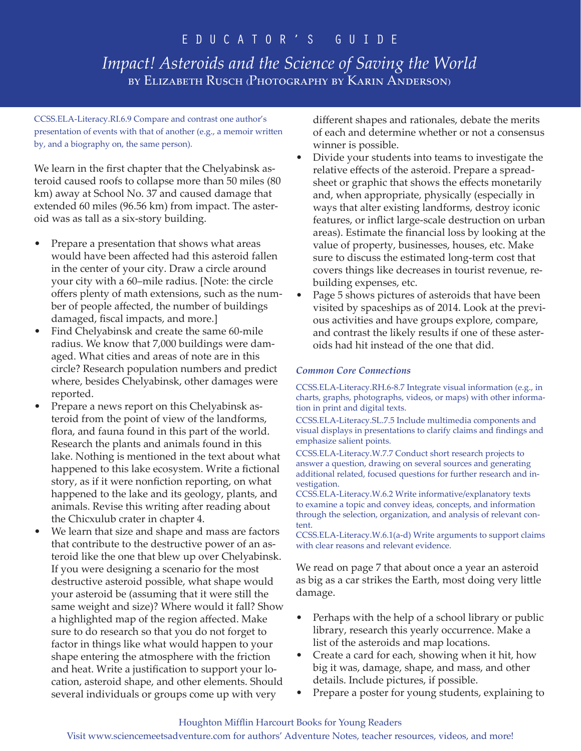*Impact! Asteroids and the Science of Saving the World* by Elizabeth Rusch (Photography by Karin Anderson)

CCSS.ELA-Literacy.RI.6.9 Compare and contrast one author's presentation of events with that of another (e.g., a memoir written by, and a biography on, the same person).

We learn in the first chapter that the Chelyabinsk asteroid caused roofs to collapse more than 50 miles (80 km) away at School No. 37 and caused damage that extended 60 miles (96.56 km) from impact. The asteroid was as tall as a six-story building.

- Prepare a presentation that shows what areas would have been affected had this asteroid fallen in the center of your city. Draw a circle around your city with a 60–mile radius. [Note: the circle offers plenty of math extensions, such as the number of people affected, the number of buildings damaged, fiscal impacts, and more.]
- Find Chelyabinsk and create the same 60-mile radius. We know that 7,000 buildings were damaged. What cities and areas of note are in this circle? Research population numbers and predict where, besides Chelyabinsk, other damages were reported.
- Prepare a news report on this Chelyabinsk asteroid from the point of view of the landforms, flora, and fauna found in this part of the world. Research the plants and animals found in this lake. Nothing is mentioned in the text about what happened to this lake ecosystem. Write a fictional story, as if it were nonfiction reporting, on what happened to the lake and its geology, plants, and animals. Revise this writing after reading about the Chicxulub crater in chapter 4.
- We learn that size and shape and mass are factors that contribute to the destructive power of an asteroid like the one that blew up over Chelyabinsk. If you were designing a scenario for the most destructive asteroid possible, what shape would your asteroid be (assuming that it were still the same weight and size)? Where would it fall? Show a highlighted map of the region affected. Make sure to do research so that you do not forget to factor in things like what would happen to your shape entering the atmosphere with the friction and heat. Write a justification to support your location, asteroid shape, and other elements. Should several individuals or groups come up with very

different shapes and rationales, debate the merits of each and determine whether or not a consensus winner is possible.

- Divide your students into teams to investigate the relative effects of the asteroid. Prepare a spreadsheet or graphic that shows the effects monetarily and, when appropriate, physically (especially in ways that alter existing landforms, destroy iconic features, or inflict large-scale destruction on urban areas). Estimate the financial loss by looking at the value of property, businesses, houses, etc. Make sure to discuss the estimated long-term cost that covers things like decreases in tourist revenue, rebuilding expenses, etc.
- Page 5 shows pictures of asteroids that have been visited by spaceships as of 2014. Look at the previous activities and have groups explore, compare, and contrast the likely results if one of these asteroids had hit instead of the one that did.

## *Common Core Connections*

CCSS.ELA-Literacy.RH.6-8.7 Integrate visual information (e.g., in charts, graphs, photographs, videos, or maps) with other information in print and digital texts.

CCSS.ELA-Literacy.SL.7.5 Include multimedia components and visual displays in presentations to clarify claims and findings and emphasize salient points.

CCSS.ELA-Literacy.W.7.7 Conduct short research projects to answer a question, drawing on several sources and generating additional related, focused questions for further research and investigation.

CCSS.ELA-Literacy.W.6.2 Write informative/explanatory texts to examine a topic and convey ideas, concepts, and information through the selection, organization, and analysis of relevant content.

CCSS.ELA-Literacy.W.6.1(a-d) Write arguments to support claims with clear reasons and relevant evidence.

We read on page 7 that about once a year an asteroid as big as a car strikes the Earth, most doing very little damage.

- Perhaps with the help of a school library or public library, research this yearly occurrence. Make a list of the asteroids and map locations.
- Create a card for each, showing when it hit, how big it was, damage, shape, and mass, and other details. Include pictures, if possible.
- Prepare a poster for young students, explaining to

### Houghton Mifflin Harcourt Books for Young Readers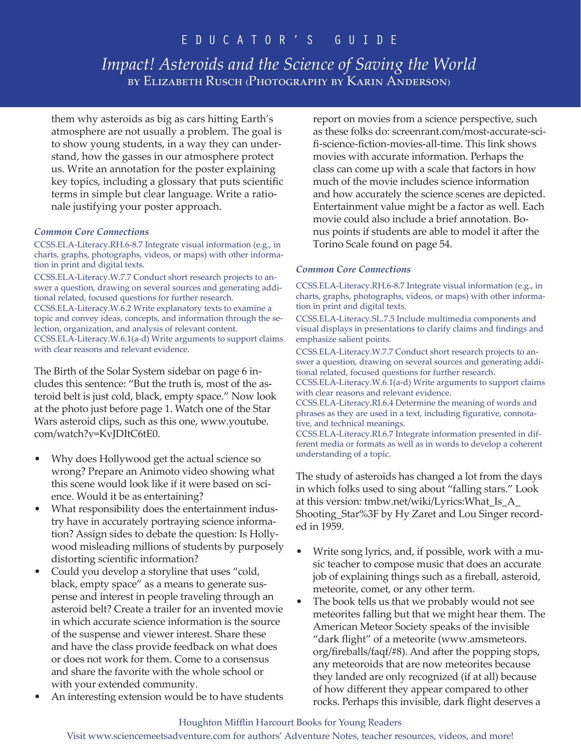*Impact! Asteroids and the Science of Saving the World* by Elizabeth Rusch (Photography by Karin Anderson)

them why asteroids as big as cars hitting Earth's atmosphere are not usually a problem. The goal is to show young students, in a way they can understand, how the gasses in our atmosphere protect us. Write an annotation for the poster explaining key topics, including a glossary that puts scientific terms in simple but clear language. Write a rationale justifying your poster approach.

#### *Common Core Connections*

CCSS.ELA-Literacy.RH.6-8.7 Integrate visual information (e.g., in charts, graphs, photographs, videos, or maps) with other information in print and digital texts. CCSS.ELA-Literacy.W.7.7 Conduct short research projects to an-

swer a question, drawing on several sources and generating additional related, focused questions for further research. CCSS.ELA-Literacy.W.6.2 Write explanatory texts to examine a topic and convey ideas, concepts, and information through the selection, organization, and analysis of relevant content. CCSS.ELA-Literacy.W.6.1(a-d) Write arguments to support claims with clear reasons and relevant evidence.

The Birth of the Solar System sidebar on page 6 includes this sentence: "But the truth is, most of the asteroid belt is just cold, black, empty space." Now look at the photo just before page 1. Watch one of the Star Wars asteroid clips, such as this one, www.youtube. com/watch?v=KvJDItC6tE0.

- Why does Hollywood get the actual science so wrong? Prepare an Animoto video showing what this scene would look like if it were based on science. Would it be as entertaining?
- What responsibility does the entertainment industry have in accurately portraying science information? Assign sides to debate the question: Is Hollywood misleading millions of students by purposely distorting scientific information?
- Could you develop a storyline that uses "cold, black, empty space" as a means to generate suspense and interest in people traveling through an asteroid belt? Create a trailer for an invented movie in which accurate science information is the source of the suspense and viewer interest. Share these and have the class provide feedback on what does or does not work for them. Come to a consensus and share the favorite with the whole school or with your extended community.
- An interesting extension would be to have students

report on movies from a science perspective, such as these folks do: screenrant.com/most-accurate-scifi-science-fiction-movies-all-time. This link shows movies with accurate information. Perhaps the class can come up with a scale that factors in how much of the movie includes science information and how accurately the science scenes are depicted. Entertainment value might be a factor as well. Each movie could also include a brief annotation. Bonus points if students are able to model it after the Torino Scale found on page 54.

#### *Common Core Connections*

CCSS.ELA-Literacy.RH.6-8.7 Integrate visual information (e.g., in charts, graphs, photographs, videos, or maps) with other information in print and digital texts.

CCSS.ELA-Literacy.SL.7.5 Include multimedia components and visual displays in presentations to clarify claims and findings and emphasize salient points.

CCSS.ELA-Literacy.W.7.7 Conduct short research projects to answer a question, drawing on several sources and generating additional related, focused questions for further research.

CCSS.ELA-Literacy.W.6.1(a-d) Write arguments to support claims with clear reasons and relevant evidence.

CCSS.ELA-Literacy.RI.6.4 Determine the meaning of words and phrases as they are used in a text, including figurative, connotative, and technical meanings.

CCSS.ELA-Literacy.RI.6.7 Integrate information presented in different media or formats as well as in words to develop a coherent understanding of a topic.

The study of asteroids has changed a lot from the days in which folks used to sing about "falling stars." Look at this version: tmbw.net/wiki/Lyrics:What\_Is\_A\_ Shooting\_Star%3F by Hy Zaret and Lou Singer recorded in 1959.

- Write song lyrics, and, if possible, work with a music teacher to compose music that does an accurate job of explaining things such as a fireball, asteroid, meteorite, comet, or any other term.
- The book tells us that we probably would not see meteorites falling but that we might hear them. The American Meteor Society speaks of the invisible "dark flight" of a meteorite (www.amsmeteors. org/fireballs/faqf/#8). And after the popping stops, any meteoroids that are now meteorites because they landed are only recognized (if at all) because of how different they appear compared to other rocks. Perhaps this invisible, dark flight deserves a

#### Houghton Mifflin Harcourt Books for Young Readers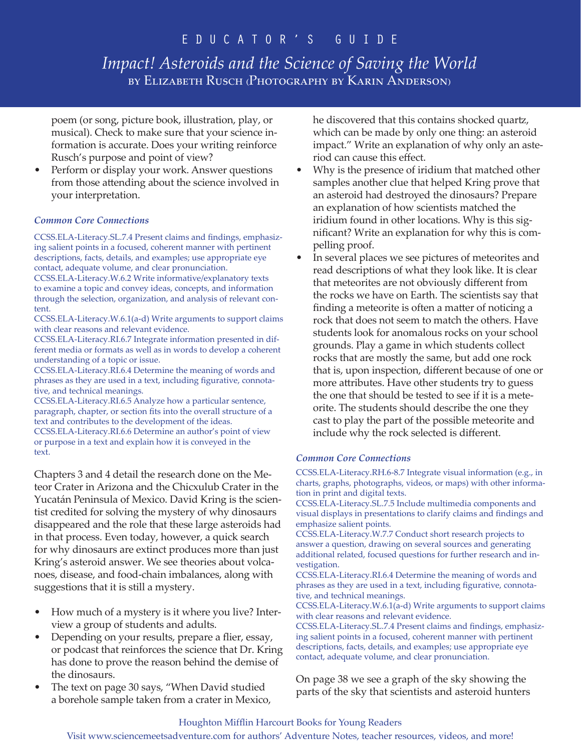# *Impact! Asteroids and the Science of Saving the World* by Elizabeth Rusch (Photography by Karin Anderson)

poem (or song, picture book, illustration, play, or musical). Check to make sure that your science information is accurate. Does your writing reinforce Rusch's purpose and point of view?

• Perform or display your work. Answer questions from those attending about the science involved in your interpretation.

### *Common Core Connections*

CCSS.ELA-Literacy.SL.7.4 Present claims and findings, emphasizing salient points in a focused, coherent manner with pertinent descriptions, facts, details, and examples; use appropriate eye contact, adequate volume, and clear pronunciation.

CCSS.ELA-Literacy.W.6.2 Write informative/explanatory texts to examine a topic and convey ideas, concepts, and information through the selection, organization, and analysis of relevant content.

CCSS.ELA-Literacy.W.6.1(a-d) Write arguments to support claims with clear reasons and relevant evidence.

CCSS.ELA-Literacy.RI.6.7 Integrate information presented in different media or formats as well as in words to develop a coherent understanding of a topic or issue.

CCSS.ELA-Literacy.RI.6.4 Determine the meaning of words and phrases as they are used in a text, including figurative, connotative, and technical meanings.

CCSS.ELA-Literacy.RI.6.5 Analyze how a particular sentence, paragraph, chapter, or section fits into the overall structure of a text and contributes to the development of the ideas. CCSS.ELA-Literacy.RI.6.6 Determine an author's point of view

or purpose in a text and explain how it is conveyed in the text.

Chapters 3 and 4 detail the research done on the Meteor Crater in Arizona and the Chicxulub Crater in the Yucatán Peninsula of Mexico. David Kring is the scientist credited for solving the mystery of why dinosaurs disappeared and the role that these large asteroids had in that process. Even today, however, a quick search for why dinosaurs are extinct produces more than just Kring's asteroid answer. We see theories about volcanoes, disease, and food-chain imbalances, along with suggestions that it is still a mystery.

- How much of a mystery is it where you live? Interview a group of students and adults.
- Depending on your results, prepare a flier, essay, or podcast that reinforces the science that Dr. Kring has done to prove the reason behind the demise of the dinosaurs.
- The text on page 30 says, "When David studied a borehole sample taken from a crater in Mexico,

he discovered that this contains shocked quartz, which can be made by only one thing: an asteroid impact." Write an explanation of why only an asteriod can cause this effect.

- Why is the presence of iridium that matched other samples another clue that helped Kring prove that an asteroid had destroyed the dinosaurs? Prepare an explanation of how scientists matched the iridium found in other locations. Why is this significant? Write an explanation for why this is compelling proof.
- In several places we see pictures of meteorites and read descriptions of what they look like. It is clear that meteorites are not obviously different from the rocks we have on Earth. The scientists say that finding a meteorite is often a matter of noticing a rock that does not seem to match the others. Have students look for anomalous rocks on your school grounds. Play a game in which students collect rocks that are mostly the same, but add one rock that is, upon inspection, different because of one or more attributes. Have other students try to guess the one that should be tested to see if it is a meteorite. The students should describe the one they cast to play the part of the possible meteorite and include why the rock selected is different.

### *Common Core Connections*

CCSS.ELA-Literacy.RH.6-8.7 Integrate visual information (e.g., in charts, graphs, photographs, videos, or maps) with other information in print and digital texts.

CCSS.ELA-Literacy.SL.7.5 Include multimedia components and visual displays in presentations to clarify claims and findings and emphasize salient points.

CCSS.ELA-Literacy.W.7.7 Conduct short research projects to answer a question, drawing on several sources and generating additional related, focused questions for further research and investigation.

CCSS.ELA-Literacy.RI.6.4 Determine the meaning of words and phrases as they are used in a text, including figurative, connotative, and technical meanings.

CCSS.ELA-Literacy.W.6.1(a-d) Write arguments to support claims with clear reasons and relevant evidence.

CCSS.ELA-Literacy.SL.7.4 Present claims and findings, emphasizing salient points in a focused, coherent manner with pertinent descriptions, facts, details, and examples; use appropriate eye contact, adequate volume, and clear pronunciation.

On page 38 we see a graph of the sky showing the parts of the sky that scientists and asteroid hunters

### Houghton Mifflin Harcourt Books for Young Readers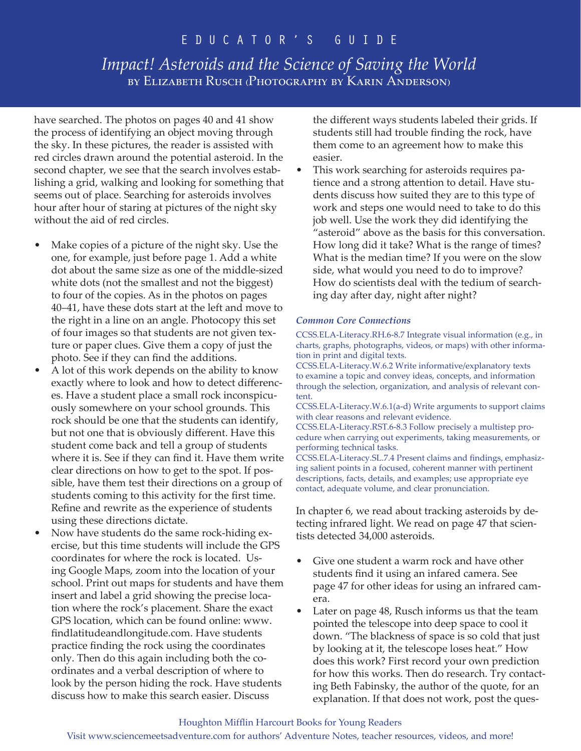# *Impact! Asteroids and the Science of Saving the World* by Elizabeth Rusch (Photography by Karin Anderson)

have searched. The photos on pages 40 and 41 show the process of identifying an object moving through the sky. In these pictures, the reader is assisted with red circles drawn around the potential asteroid. In the second chapter, we see that the search involves establishing a grid, walking and looking for something that seems out of place. Searching for asteroids involves hour after hour of staring at pictures of the night sky without the aid of red circles.

- Make copies of a picture of the night sky. Use the one, for example, just before page 1. Add a white dot about the same size as one of the middle-sized white dots (not the smallest and not the biggest) to four of the copies. As in the photos on pages 40–41, have these dots start at the left and move to the right in a line on an angle. Photocopy this set of four images so that students are not given texture or paper clues. Give them a copy of just the photo. See if they can find the additions.
- A lot of this work depends on the ability to know exactly where to look and how to detect differences. Have a student place a small rock inconspicuously somewhere on your school grounds. This rock should be one that the students can identify, but not one that is obviously different. Have this student come back and tell a group of students where it is. See if they can find it. Have them write clear directions on how to get to the spot. If possible, have them test their directions on a group of students coming to this activity for the first time. Refine and rewrite as the experience of students using these directions dictate.
- Now have students do the same rock-hiding exercise, but this time students will include the GPS coordinates for where the rock is located. Using Google Maps, zoom into the location of your school. Print out maps for students and have them insert and label a grid showing the precise location where the rock's placement. Share the exact GPS location, which can be found online: www. findlatitudeandlongitude.com. Have students practice finding the rock using the coordinates only. Then do this again including both the coordinates and a verbal description of where to look by the person hiding the rock. Have students discuss how to make this search easier. Discuss

the different ways students labeled their grids. If students still had trouble finding the rock, have them come to an agreement how to make this easier.

• This work searching for asteroids requires patience and a strong attention to detail. Have students discuss how suited they are to this type of work and steps one would need to take to do this job well. Use the work they did identifying the "asteroid" above as the basis for this conversation. How long did it take? What is the range of times? What is the median time? If you were on the slow side, what would you need to do to improve? How do scientists deal with the tedium of searching day after day, night after night?

### *Common Core Connections*

CCSS.ELA-Literacy.RH.6-8.7 Integrate visual information (e.g., in charts, graphs, photographs, videos, or maps) with other information in print and digital texts.

CCSS.ELA-Literacy.W.6.2 Write informative/explanatory texts to examine a topic and convey ideas, concepts, and information through the selection, organization, and analysis of relevant content.

CCSS.ELA-Literacy.W.6.1(a-d) Write arguments to support claims with clear reasons and relevant evidence.

CCSS.ELA-Literacy.RST.6-8.3 Follow precisely a multistep procedure when carrying out experiments, taking measurements, or performing technical tasks.

CCSS.ELA-Literacy.SL.7.4 Present claims and findings, emphasizing salient points in a focused, coherent manner with pertinent descriptions, facts, details, and examples; use appropriate eye contact, adequate volume, and clear pronunciation.

In chapter 6, we read about tracking asteroids by detecting infrared light. We read on page 47 that scientists detected 34,000 asteroids.

- Give one student a warm rock and have other students find it using an infared camera. See page 47 for other ideas for using an infrared camera.
- Later on page 48, Rusch informs us that the team pointed the telescope into deep space to cool it down. "The blackness of space is so cold that just by looking at it, the telescope loses heat." How does this work? First record your own prediction for how this works. Then do research. Try contacting Beth Fabinsky, the author of the quote, for an explanation. If that does not work, post the ques-

#### Houghton Mifflin Harcourt Books for Young Readers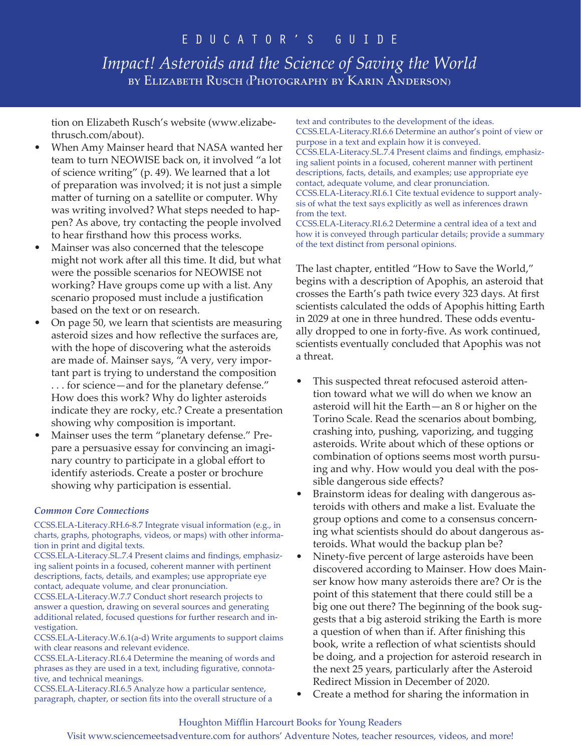# *Impact! Asteroids and the Science of Saving the World* by Elizabeth Rusch (Photography by Karin Anderson)

tion on Elizabeth Rusch's website (www.elizabethrusch.com/about).

- When Amy Mainser heard that NASA wanted her team to turn NEOWISE back on, it involved "a lot of science writing" (p. 49). We learned that a lot of preparation was involved; it is not just a simple matter of turning on a satellite or computer. Why was writing involved? What steps needed to happen? As above, try contacting the people involved to hear firsthand how this process works.
- Mainser was also concerned that the telescope might not work after all this time. It did, but what were the possible scenarios for NEOWISE not working? Have groups come up with a list. Any scenario proposed must include a justification based on the text or on research.
- On page 50, we learn that scientists are measuring asteroid sizes and how reflective the surfaces are, with the hope of discovering what the asteroids are made of. Mainser says, "A very, very important part is trying to understand the composition . . . for science—and for the planetary defense." How does this work? Why do lighter asteroids indicate they are rocky, etc.? Create a presentation showing why composition is important.
- Mainser uses the term "planetary defense." Prepare a persuasive essay for convincing an imaginary country to participate in a global effort to identify asteriods. Create a poster or brochure showing why participation is essential.

### *Common Core Connections*

CCSS.ELA-Literacy.RH.6-8.7 Integrate visual information (e.g., in charts, graphs, photographs, videos, or maps) with other information in print and digital texts.

CCSS.ELA-Literacy.SL.7.4 Present claims and findings, emphasizing salient points in a focused, coherent manner with pertinent descriptions, facts, details, and examples; use appropriate eye contact, adequate volume, and clear pronunciation.

CCSS.ELA-Literacy.W.7.7 Conduct short research projects to answer a question, drawing on several sources and generating additional related, focused questions for further research and investigation.

CCSS.ELA-Literacy.W.6.1(a-d) Write arguments to support claims with clear reasons and relevant evidence.

CCSS.ELA-Literacy.RI.6.4 Determine the meaning of words and phrases as they are used in a text, including figurative, connotative, and technical meanings.

CCSS.ELA-Literacy.RI.6.5 Analyze how a particular sentence, paragraph, chapter, or section fits into the overall structure of a text and contributes to the development of the ideas. CCSS.ELA-Literacy.RI.6.6 Determine an author's point of view or purpose in a text and explain how it is conveyed. CCSS.ELA-Literacy.SL.7.4 Present claims and findings, emphasizing salient points in a focused, coherent manner with pertinent descriptions, facts, details, and examples; use appropriate eye contact, adequate volume, and clear pronunciation. CCSS.ELA-Literacy.RI.6.1 Cite textual evidence to support analysis of what the text says explicitly as well as inferences drawn from the text.

CCSS.ELA-Literacy.RI.6.2 Determine a central idea of a text and how it is conveyed through particular details; provide a summary of the text distinct from personal opinions.

The last chapter, entitled "How to Save the World," begins with a description of Apophis, an asteroid that crosses the Earth's path twice every 323 days. At first scientists calculated the odds of Apophis hitting Earth in 2029 at one in three hundred. These odds eventually dropped to one in forty-five. As work continued, scientists eventually concluded that Apophis was not a threat.

- This suspected threat refocused asteroid attention toward what we will do when we know an asteroid will hit the Earth—an 8 or higher on the Torino Scale. Read the scenarios about bombing, crashing into, pushing, vaporizing, and tugging asteroids. Write about which of these options or combination of options seems most worth pursuing and why. How would you deal with the possible dangerous side effects?
- Brainstorm ideas for dealing with dangerous asteroids with others and make a list. Evaluate the group options and come to a consensus concerning what scientists should do about dangerous asteroids. What would the backup plan be?
- Ninety-five percent of large asteroids have been discovered according to Mainser. How does Mainser know how many asteroids there are? Or is the point of this statement that there could still be a big one out there? The beginning of the book suggests that a big asteroid striking the Earth is more a question of when than if. After finishing this book, write a reflection of what scientists should be doing, and a projection for asteroid research in the next 25 years, particularly after the Asteroid Redirect Mission in December of 2020.
- Create a method for sharing the information in

### Houghton Mifflin Harcourt Books for Young Readers